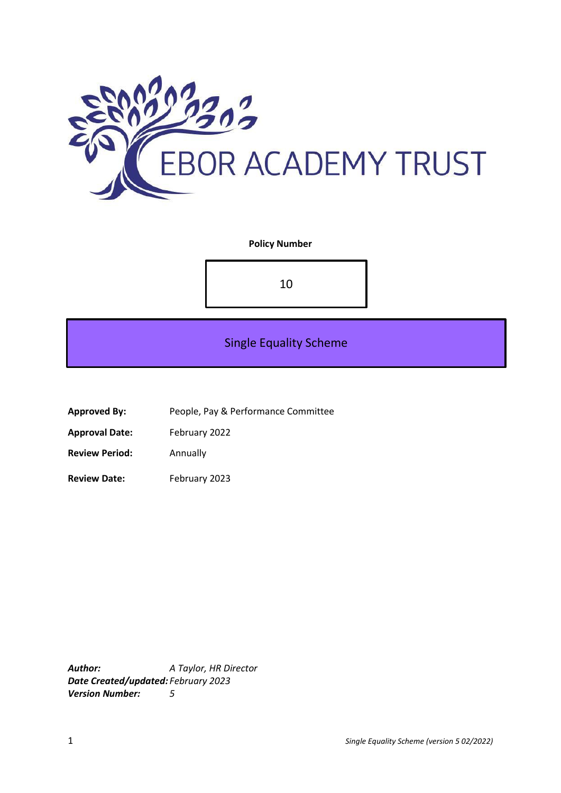

## **Policy Number**

10

# Single Equality Scheme

**Approved By:** People, Pay & Performance Committee

**Approval Date:** February 2022

**Review Period:** Annually

**Review Date:** February 2023

*Author: A Taylor, HR Director Date Created/updated: February 2023 Version Number: 5*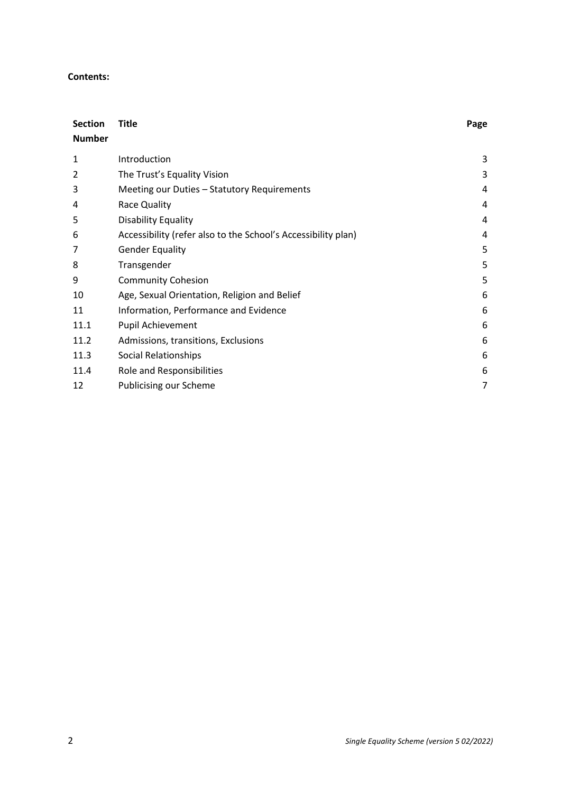#### **Contents:**

| <b>Section</b><br><b>Number</b> | <b>Title</b>                                                  | Page |
|---------------------------------|---------------------------------------------------------------|------|
| 1                               | Introduction                                                  | 3    |
| 2                               | The Trust's Equality Vision                                   | 3    |
| 3                               | Meeting our Duties - Statutory Requirements                   | 4    |
| 4                               | Race Quality                                                  | 4    |
| 5                               | <b>Disability Equality</b>                                    | 4    |
| 6                               | Accessibility (refer also to the School's Accessibility plan) | 4    |
| 7                               | <b>Gender Equality</b>                                        | 5    |
| 8                               | Transgender                                                   | 5    |
| 9                               | <b>Community Cohesion</b>                                     | 5    |
| 10                              | Age, Sexual Orientation, Religion and Belief                  | 6    |
| 11                              | Information, Performance and Evidence                         | 6    |
| 11.1                            | Pupil Achievement                                             | 6    |
| 11.2                            | Admissions, transitions, Exclusions                           | 6    |
| 11.3                            | Social Relationships                                          | 6    |
| 11.4                            | Role and Responsibilities                                     | 6    |
| 12                              | <b>Publicising our Scheme</b>                                 | 7    |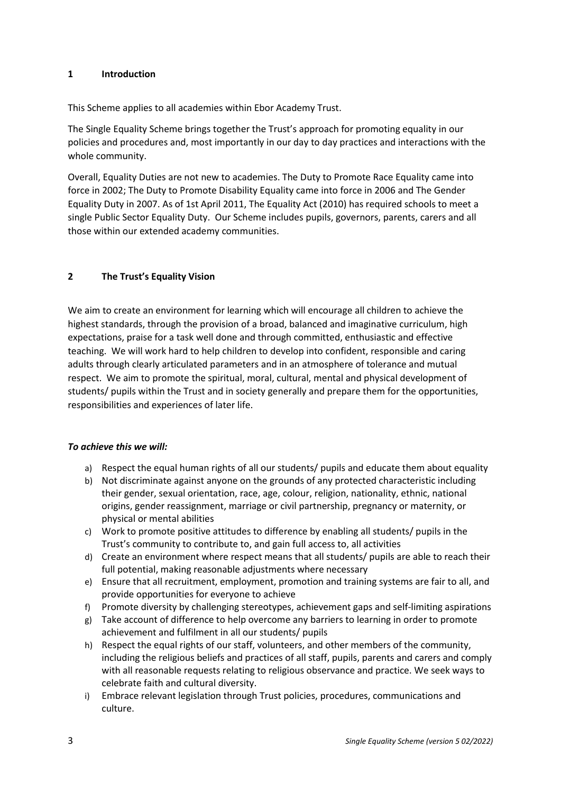#### **1 Introduction**

This Scheme applies to all academies within Ebor Academy Trust.

The Single Equality Scheme brings together the Trust's approach for promoting equality in our policies and procedures and, most importantly in our day to day practices and interactions with the whole community.

Overall, Equality Duties are not new to academies. The Duty to Promote Race Equality came into force in 2002; The Duty to Promote Disability Equality came into force in 2006 and The Gender Equality Duty in 2007. As of 1st April 2011, The Equality Act (2010) has required schools to meet a single Public Sector Equality Duty. Our Scheme includes pupils, governors, parents, carers and all those within our extended academy communities.

## **2 The Trust's Equality Vision**

We aim to create an environment for learning which will encourage all children to achieve the highest standards, through the provision of a broad, balanced and imaginative curriculum, high expectations, praise for a task well done and through committed, enthusiastic and effective teaching. We will work hard to help children to develop into confident, responsible and caring adults through clearly articulated parameters and in an atmosphere of tolerance and mutual respect. We aim to promote the spiritual, moral, cultural, mental and physical development of students/ pupils within the Trust and in society generally and prepare them for the opportunities, responsibilities and experiences of later life.

## *To achieve this we will:*

- a) Respect the equal human rights of all our students/ pupils and educate them about equality
- b) Not discriminate against anyone on the grounds of any protected characteristic including their gender, sexual orientation, race, age, colour, religion, nationality, ethnic, national origins, gender reassignment, marriage or civil partnership, pregnancy or maternity, or physical or mental abilities
- c) Work to promote positive attitudes to difference by enabling all students/ pupils in the Trust's community to contribute to, and gain full access to, all activities
- d) Create an environment where respect means that all students/ pupils are able to reach their full potential, making reasonable adjustments where necessary
- e) Ensure that all recruitment, employment, promotion and training systems are fair to all, and provide opportunities for everyone to achieve
- f) Promote diversity by challenging stereotypes, achievement gaps and self-limiting aspirations
- g) Take account of difference to help overcome any barriers to learning in order to promote achievement and fulfilment in all our students/ pupils
- h) Respect the equal rights of our staff, volunteers, and other members of the community, including the religious beliefs and practices of all staff, pupils, parents and carers and comply with all reasonable requests relating to religious observance and practice. We seek ways to celebrate faith and cultural diversity.
- i) Embrace relevant legislation through Trust policies, procedures, communications and culture.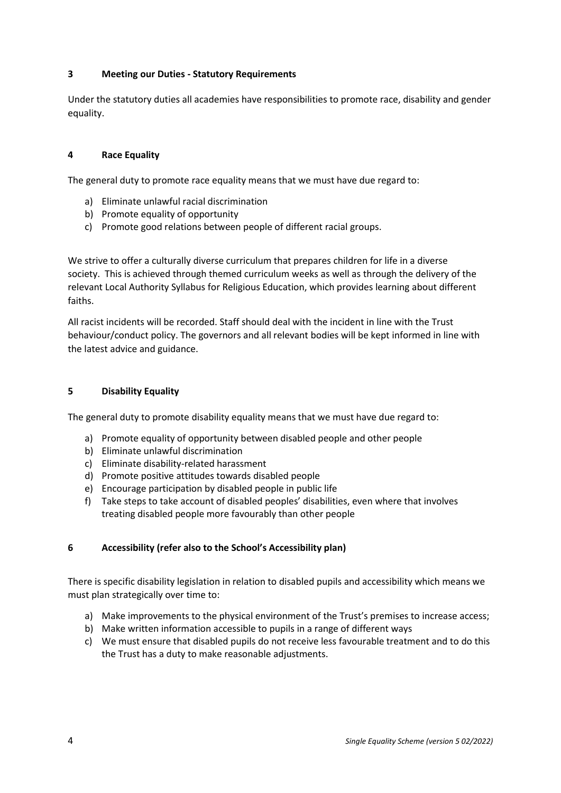## **3 Meeting our Duties - Statutory Requirements**

Under the statutory duties all academies have responsibilities to promote race, disability and gender equality.

#### **4 Race Equality**

The general duty to promote race equality means that we must have due regard to:

- a) Eliminate unlawful racial discrimination
- b) Promote equality of opportunity
- c) Promote good relations between people of different racial groups.

We strive to offer a culturally diverse curriculum that prepares children for life in a diverse society. This is achieved through themed curriculum weeks as well as through the delivery of the relevant Local Authority Syllabus for Religious Education, which provides learning about different faiths.

All racist incidents will be recorded. Staff should deal with the incident in line with the Trust behaviour/conduct policy. The governors and all relevant bodies will be kept informed in line with the latest advice and guidance.

#### **5 Disability Equality**

The general duty to promote disability equality means that we must have due regard to:

- a) Promote equality of opportunity between disabled people and other people
- b) Eliminate unlawful discrimination
- c) Eliminate disability-related harassment
- d) Promote positive attitudes towards disabled people
- e) Encourage participation by disabled people in public life
- f) Take steps to take account of disabled peoples' disabilities, even where that involves treating disabled people more favourably than other people

## **6 Accessibility (refer also to the School's Accessibility plan)**

There is specific disability legislation in relation to disabled pupils and accessibility which means we must plan strategically over time to:

- a) Make improvements to the physical environment of the Trust's premises to increase access;
- b) Make written information accessible to pupils in a range of different ways
- c) We must ensure that disabled pupils do not receive less favourable treatment and to do this the Trust has a duty to make reasonable adjustments.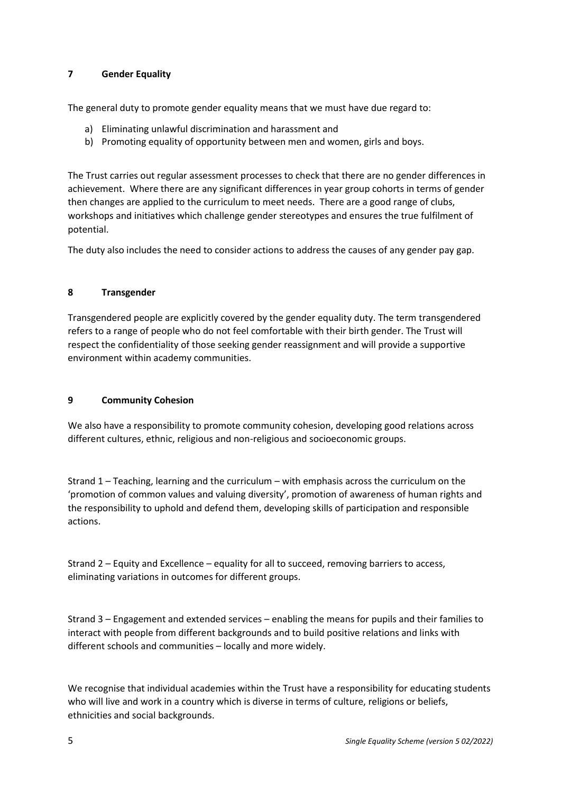## **7 Gender Equality**

The general duty to promote gender equality means that we must have due regard to:

- a) Eliminating unlawful discrimination and harassment and
- b) Promoting equality of opportunity between men and women, girls and boys.

The Trust carries out regular assessment processes to check that there are no gender differences in achievement. Where there are any significant differences in year group cohorts in terms of gender then changes are applied to the curriculum to meet needs. There are a good range of clubs, workshops and initiatives which challenge gender stereotypes and ensures the true fulfilment of potential.

The duty also includes the need to consider actions to address the causes of any gender pay gap.

# **8 Transgender**

Transgendered people are explicitly covered by the gender equality duty. The term transgendered refers to a range of people who do not feel comfortable with their birth gender. The Trust will respect the confidentiality of those seeking gender reassignment and will provide a supportive environment within academy communities.

# **9 Community Cohesion**

We also have a responsibility to promote community cohesion, developing good relations across different cultures, ethnic, religious and non-religious and socioeconomic groups.

Strand 1 – Teaching, learning and the curriculum – with emphasis across the curriculum on the 'promotion of common values and valuing diversity', promotion of awareness of human rights and the responsibility to uphold and defend them, developing skills of participation and responsible actions.

Strand 2 – Equity and Excellence – equality for all to succeed, removing barriers to access, eliminating variations in outcomes for different groups.

Strand 3 – Engagement and extended services – enabling the means for pupils and their families to interact with people from different backgrounds and to build positive relations and links with different schools and communities – locally and more widely.

We recognise that individual academies within the Trust have a responsibility for educating students who will live and work in a country which is diverse in terms of culture, religions or beliefs, ethnicities and social backgrounds.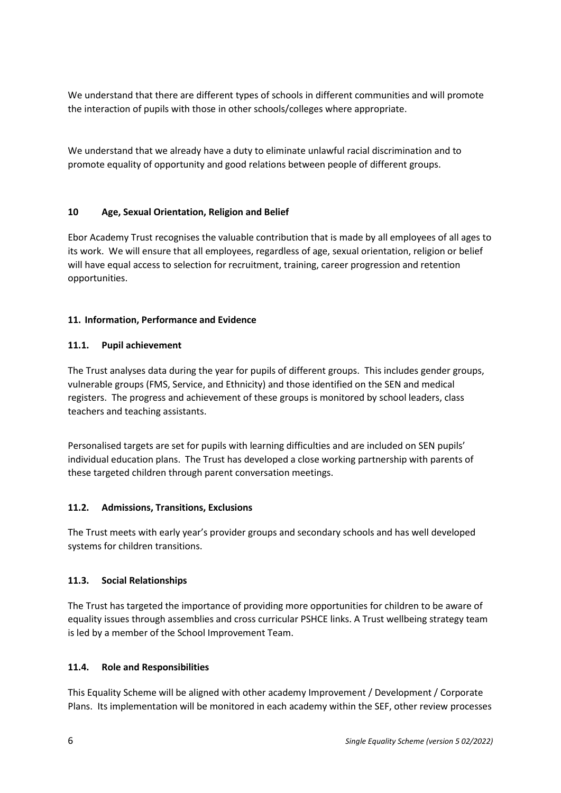We understand that there are different types of schools in different communities and will promote the interaction of pupils with those in other schools/colleges where appropriate.

We understand that we already have a duty to eliminate unlawful racial discrimination and to promote equality of opportunity and good relations between people of different groups.

# **10 Age, Sexual Orientation, Religion and Belief**

Ebor Academy Trust recognises the valuable contribution that is made by all employees of all ages to its work. We will ensure that all employees, regardless of age, sexual orientation, religion or belief will have equal access to selection for recruitment, training, career progression and retention opportunities.

# **11. Information, Performance and Evidence**

## **11.1. Pupil achievement**

The Trust analyses data during the year for pupils of different groups. This includes gender groups, vulnerable groups (FMS, Service, and Ethnicity) and those identified on the SEN and medical registers. The progress and achievement of these groups is monitored by school leaders, class teachers and teaching assistants.

Personalised targets are set for pupils with learning difficulties and are included on SEN pupils' individual education plans. The Trust has developed a close working partnership with parents of these targeted children through parent conversation meetings.

## **11.2. Admissions, Transitions, Exclusions**

The Trust meets with early year's provider groups and secondary schools and has well developed systems for children transitions.

## **11.3. Social Relationships**

The Trust has targeted the importance of providing more opportunities for children to be aware of equality issues through assemblies and cross curricular PSHCE links. A Trust wellbeing strategy team is led by a member of the School Improvement Team.

## **11.4. Role and Responsibilities**

This Equality Scheme will be aligned with other academy Improvement / Development / Corporate Plans. Its implementation will be monitored in each academy within the SEF, other review processes